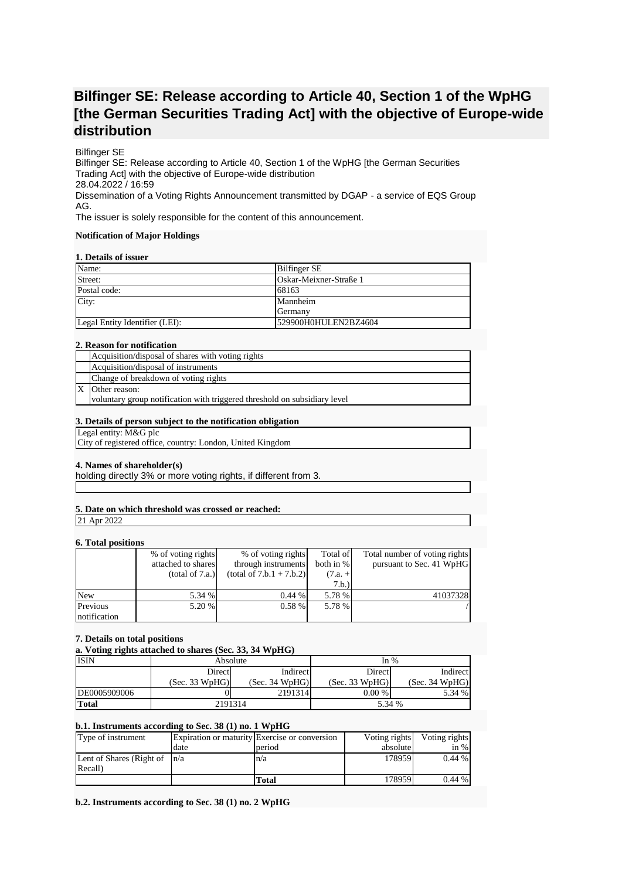# **Bilfinger SE: Release according to Article 40, Section 1 of the WpHG [the German Securities Trading Act] with the objective of Europe-wide distribution**

### Bilfinger SE

Bilfinger SE: Release according to Article 40, Section 1 of the WpHG [the German Securities Trading Act] with the objective of Europe-wide distribution 28.04.2022 / 16:59 Dissemination of a Voting Rights Announcement transmitted by DGAP - a service of EQS Group AG.

The issuer is solely responsible for the content of this announcement.

### **Notification of Major Holdings**

### **1. Details of issuer**

| Name:                          | Bilfinger SE           |
|--------------------------------|------------------------|
| Street:                        | Oskar-Meixner-Straße 1 |
| Postal code:                   | 68163                  |
| City:                          | Mannheim               |
|                                | Germany                |
| Legal Entity Identifier (LEI): | 529900H0HULEN2BZ4604   |

### **2. Reason for notification**

| Acquisition/disposal of shares with voting rights                         |
|---------------------------------------------------------------------------|
| Acquisition/disposal of instruments                                       |
| Change of breakdown of voting rights                                      |
| Other reason:                                                             |
| voluntary group notification with triggered threshold on subsidiary level |

### **3. Details of person subject to the notification obligation**

#### Legal entity: M&G plc

City of registered office, country: London, United Kingdom

### **4. Names of shareholder(s)**

holding directly 3% or more voting rights, if different from 3.

# **5. Date on which threshold was crossed or reached:**

21 Apr 2022

# **6. Total positions**

|              | % of voting rights | % of voting rights         | Total of  | Total number of voting rights |
|--------------|--------------------|----------------------------|-----------|-------------------------------|
|              | attached to shares | through instruments        | both in % | pursuant to Sec. 41 WpHG      |
|              | (total of 7.a.)    | $(total of 7.b.1 + 7.b.2)$ | $(7.a. +$ |                               |
|              |                    |                            | 7.b.)     |                               |
| <b>New</b>   | 5.34 %             | 0.44%                      | 5.78 %    | 41037328                      |
| Previous     | 5.20 %             | $0.58\%$                   | 5.78 %    |                               |
| notification |                    |                            |           |                               |

#### **7. Details on total positions**

**a. Voting rights attached to shares (Sec. 33, 34 WpHG)**

| <b>ISIN</b>  | Absolute       |                | In $%$         |                |
|--------------|----------------|----------------|----------------|----------------|
|              | Direct         | Indirect       | <b>Direct</b>  | Indirect       |
|              | (Sec. 33 WpHG) | (Sec. 34 WpHG) | (Sec. 33 WpHG) | (Sec. 34 WpHG) |
| DE0005909006 |                | 2191314        | $0.00\%$       | 5.34 %         |
| <b>Total</b> | 2191314        |                | 5.34 %         |                |

### **b.1. Instruments according to Sec. 38 (1) no. 1 WpHG**

| Type of instrument               |      | Expiration or maturity Exercise or conversion | Voting rights | Voting rights |
|----------------------------------|------|-----------------------------------------------|---------------|---------------|
|                                  | date | period                                        | absolute      | in $%$        |
| Lent of Shares (Right of $ n/a $ |      | n/a                                           | 178959        | $0.44\%$      |
| Recall)                          |      |                                               |               |               |
|                                  |      | Total                                         | 1789591       | $0.44\%$      |

**b.2. Instruments according to Sec. 38 (1) no. 2 WpHG**